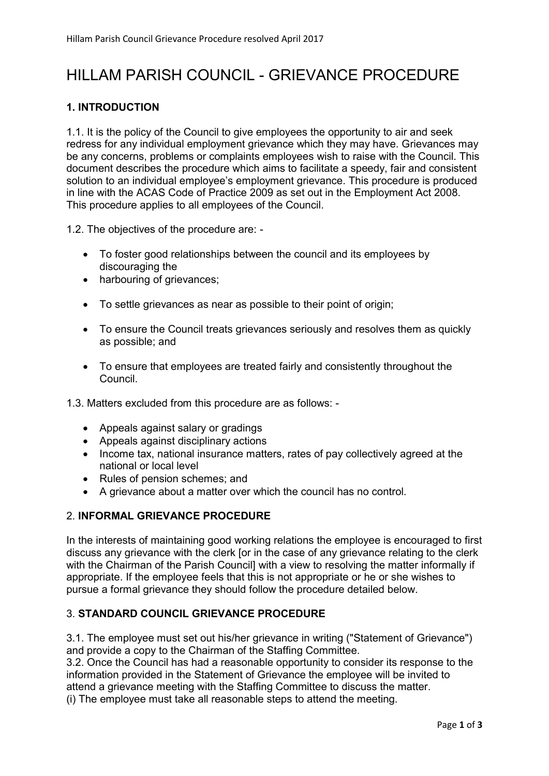# HILLAM PARISH COUNCIL - GRIEVANCE PROCEDURE

## 1. INTRODUCTION

1.1. It is the policy of the Council to give employees the opportunity to air and seek redress for any individual employment grievance which they may have. Grievances may be any concerns, problems or complaints employees wish to raise with the Council. This document describes the procedure which aims to facilitate a speedy, fair and consistent solution to an individual employee's employment grievance. This procedure is produced in line with the ACAS Code of Practice 2009 as set out in the Employment Act 2008. This procedure applies to all employees of the Council.

1.2. The objectives of the procedure are: -

- To foster good relationships between the council and its employees by discouraging the
- harbouring of grievances;
- To settle grievances as near as possible to their point of origin;
- To ensure the Council treats grievances seriously and resolves them as quickly as possible; and
- To ensure that employees are treated fairly and consistently throughout the Council.
- 1.3. Matters excluded from this procedure are as follows:
	- Appeals against salary or gradings
	- Appeals against disciplinary actions
	- Income tax, national insurance matters, rates of pay collectively agreed at the national or local level
	- Rules of pension schemes; and
	- A grievance about a matter over which the council has no control.

## 2. INFORMAL GRIEVANCE PROCEDURE

In the interests of maintaining good working relations the employee is encouraged to first discuss any grievance with the clerk [or in the case of any grievance relating to the clerk with the Chairman of the Parish Councill with a view to resolving the matter informally if appropriate. If the employee feels that this is not appropriate or he or she wishes to pursue a formal grievance they should follow the procedure detailed below.

## 3. STANDARD COUNCIL GRIEVANCE PROCEDURE

3.1. The employee must set out his/her grievance in writing ("Statement of Grievance") and provide a copy to the Chairman of the Staffing Committee.

3.2. Once the Council has had a reasonable opportunity to consider its response to the information provided in the Statement of Grievance the employee will be invited to attend a grievance meeting with the Staffing Committee to discuss the matter.

(i) The employee must take all reasonable steps to attend the meeting.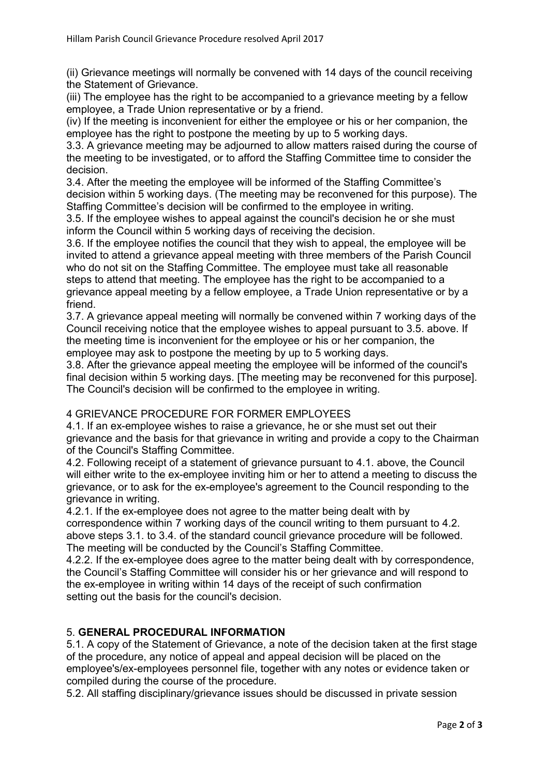(ii) Grievance meetings will normally be convened with 14 days of the council receiving the Statement of Grievance.

(iii) The employee has the right to be accompanied to a grievance meeting by a fellow employee, a Trade Union representative or by a friend.

(iv) If the meeting is inconvenient for either the employee or his or her companion, the employee has the right to postpone the meeting by up to 5 working days.

3.3. A grievance meeting may be adjourned to allow matters raised during the course of the meeting to be investigated, or to afford the Staffing Committee time to consider the decision.

3.4. After the meeting the employee will be informed of the Staffing Committee's decision within 5 working days. (The meeting may be reconvened for this purpose). The Staffing Committee's decision will be confirmed to the employee in writing.

3.5. If the employee wishes to appeal against the council's decision he or she must inform the Council within 5 working days of receiving the decision.

3.6. If the employee notifies the council that they wish to appeal, the employee will be invited to attend a grievance appeal meeting with three members of the Parish Council who do not sit on the Staffing Committee. The employee must take all reasonable steps to attend that meeting. The employee has the right to be accompanied to a grievance appeal meeting by a fellow employee, a Trade Union representative or by a friend.

3.7. A grievance appeal meeting will normally be convened within 7 working days of the Council receiving notice that the employee wishes to appeal pursuant to 3.5. above. If the meeting time is inconvenient for the employee or his or her companion, the employee may ask to postpone the meeting by up to 5 working days.

3.8. After the grievance appeal meeting the employee will be informed of the council's final decision within 5 working days. [The meeting may be reconvened for this purpose]. The Council's decision will be confirmed to the employee in writing.

### 4 GRIEVANCE PROCEDURE FOR FORMER EMPLOYEES

4.1. If an ex-employee wishes to raise a grievance, he or she must set out their grievance and the basis for that grievance in writing and provide a copy to the Chairman of the Council's Staffing Committee.

4.2. Following receipt of a statement of grievance pursuant to 4.1. above, the Council will either write to the ex-employee inviting him or her to attend a meeting to discuss the grievance, or to ask for the ex-employee's agreement to the Council responding to the grievance in writing.

4.2.1. If the ex-employee does not agree to the matter being dealt with by correspondence within 7 working days of the council writing to them pursuant to 4.2. above steps 3.1. to 3.4. of the standard council grievance procedure will be followed. The meeting will be conducted by the Council's Staffing Committee.

4.2.2. If the ex-employee does agree to the matter being dealt with by correspondence, the Council's Staffing Committee will consider his or her grievance and will respond to the ex-employee in writing within 14 days of the receipt of such confirmation setting out the basis for the council's decision.

## 5. GENERAL PROCEDURAL INFORMATION

5.1. A copy of the Statement of Grievance, a note of the decision taken at the first stage of the procedure, any notice of appeal and appeal decision will be placed on the employee's/ex-employees personnel file, together with any notes or evidence taken or compiled during the course of the procedure.

5.2. All staffing disciplinary/grievance issues should be discussed in private session